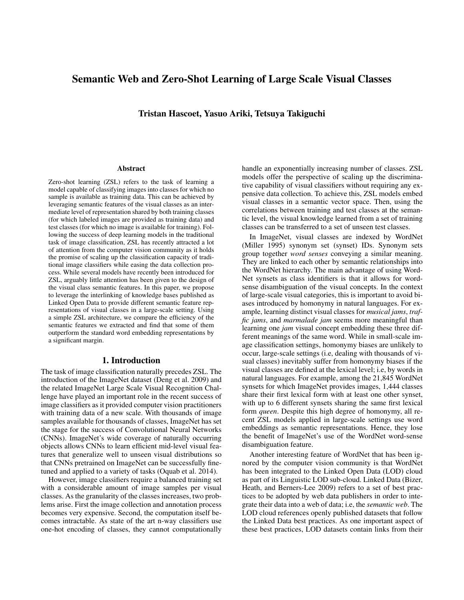# Semantic Web and Zero-Shot Learning of Large Scale Visual Classes

Tristan Hascoet, Yasuo Ariki, Tetsuya Takiguchi

#### Abstract

Zero-shot learning (ZSL) refers to the task of learning a model capable of classifying images into classes for which no sample is available as training data. This can be achieved by leveraging semantic features of the visual classes as an intermediate level of representation shared by both training classes (for which labeled images are provided as training data) and test classes (for which no image is available for training). Following the success of deep learning models in the traditional task of image classification, ZSL has recently attracted a lot of attention from the computer vision community as it holds the promise of scaling up the classification capacity of traditional image classifiers while easing the data collection process. While several models have recently been introduced for ZSL, arguably little attention has been given to the design of the visual class semantic features. In this paper, we propose to leverage the interlinking of knowledge bases published as Linked Open Data to provide different semantic feature representations of visual classes in a large-scale setting. Using a simple ZSL architecture, we compare the efficiency of the semantic features we extracted and find that some of them outperform the standard word embedding representations by a significant margin.

#### 1. Introduction

The task of image classification naturally precedes ZSL. The introduction of the ImageNet dataset (Deng et al. 2009) and the related ImageNet Large Scale Visual Recognition Challenge have played an important role in the recent success of image classifiers as it provided computer vision practitioners with training data of a new scale. With thousands of image samples available for thousands of classes, ImageNet has set the stage for the success of Convolutional Neural Networks (CNNs). ImageNet's wide coverage of naturally occurring objects allows CNNs to learn efficient mid-level visual features that generalize well to unseen visual distributions so that CNNs pretrained on ImageNet can be successfully finetuned and applied to a variety of tasks (Oquab et al. 2014).

However, image classifiers require a balanced training set with a considerable amount of image samples per visual classes. As the granularity of the classes increases, two problems arise. First the image collection and annotation process becomes very expensive. Second, the computation itself becomes intractable. As state of the art n-way classifiers use one-hot encoding of classes, they cannot computationally

handle an exponentially increasing number of classes. ZSL models offer the perspective of scaling up the discriminative capability of visual classifiers without requiring any expensive data collection. To achieve this, ZSL models embed visual classes in a semantic vector space. Then, using the correlations between training and test classes at the semantic level, the visual knowledge learned from a set of training classes can be transferred to a set of unseen test classes.

In ImageNet, visual classes are indexed by WordNet (Miller 1995) synonym set (synset) IDs. Synonym sets group together *word senses* conveying a similar meaning. They are linked to each other by semantic relationships into the WordNet hierarchy. The main advantage of using Word-Net synsets as class identifiers is that it allows for wordsense disambiguation of the visual concepts. In the context of large-scale visual categories, this is important to avoid biases introduced by homonymy in natural languages. For example, learning distinct visual classes for *musical jams*, *traffic jams*, and *marmalade jam* seems more meaningful than learning one *jam* visual concept embedding these three different meanings of the same word. While in small-scale image classification settings, homonymy biases are unlikely to occur, large-scale settings (i.e, dealing with thousands of visual classes) inevitably suffer from homonymy biases if the visual classes are defined at the lexical level; i.e, by words in natural languages. For example, among the 21,845 WordNet synsets for which ImageNet provides images, 1,444 classes share their first lexical form with at least one other synset, with up to 6 different synsets sharing the same first lexical form *queen*. Despite this high degree of homonymy, all recent ZSL models applied in large-scale settings use word embeddings as semantic representations. Hence, they lose the benefit of ImageNet's use of the WordNet word-sense disambiguation feature.

Another interesting feature of WordNet that has been ignored by the computer vision community is that WordNet has been integrated to the Linked Open Data (LOD) cloud as part of its Linguistic LOD sub-cloud. Linked Data (Bizer, Heath, and Berners-Lee 2009) refers to a set of best practices to be adopted by web data publishers in order to integrate their data into a web of data; i.e, the *semantic web*. The LOD cloud references openly published datasets that follow the Linked Data best practices. As one important aspect of these best practices, LOD datasets contain links from their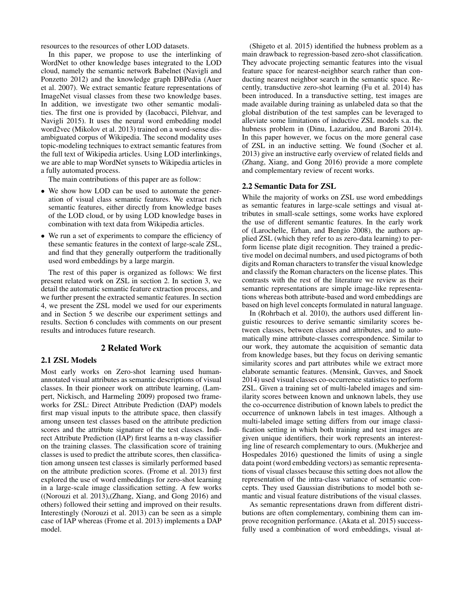resources to the resources of other LOD datasets.

In this paper, we propose to use the interlinking of WordNet to other knowledge bases integrated to the LOD cloud, namely the semantic network Babelnet (Navigli and Ponzetto 2012) and the knowledge graph DBPedia (Auer et al. 2007). We extract semantic feature representations of ImageNet visual classes from these two knowledge bases. In addition, we investigate two other semantic modalities. The first one is provided by (Iacobacci, Pilehvar, and Navigli 2015). It uses the neural word embedding model word2vec (Mikolov et al. 2013) trained on a word-sense disambiguated corpus of Wikipedia. The second modality uses topic-modeling techniques to extract semantic features from the full text of Wikipedia articles. Using LOD interlinkings, we are able to map WordNet synsets to Wikipedia articles in a fully automated process.

The main contributions of this paper are as follow:

- We show how LOD can be used to automate the generation of visual class semantic features. We extract rich semantic features, either directly from knowledge bases of the LOD cloud, or by using LOD knowledge bases in combination with text data from Wikipedia articles.
- We run a set of experiments to compare the efficiency of these semantic features in the context of large-scale ZSL, and find that they generally outperform the traditionally used word embeddings by a large margin.

The rest of this paper is organized as follows: We first present related work on ZSL in section 2. In section 3, we detail the automatic semantic feature extraction process, and we further present the extracted semantic features. In section 4, we present the ZSL model we used for our experiments and in Section 5 we describe our experiment settings and results. Section 6 concludes with comments on our present results and introduces future research.

#### 2 Related Work

### 2.1 ZSL Models

Most early works on Zero-shot learning used humanannotated visual attributes as semantic descriptions of visual classes. In their pioneer work on attribute learning, (Lampert, Nickisch, and Harmeling 2009) proposed two frameworks for ZSL: Direct Attribute Prediction (DAP) models first map visual inputs to the attribute space, then classify among unseen test classes based on the attribute prediction scores and the attribute signature of the test classes. Indirect Attribute Prediction (IAP) first learns a n-way classifier on the training classes. The classification score of training classes is used to predict the attribute scores, then classification among unseen test classes is similarly performed based on the attribute prediction scores. (Frome et al. 2013) first explored the use of word embeddings for zero-shot learning in a large-scale image classification setting. A few works ((Norouzi et al. 2013),(Zhang, Xiang, and Gong 2016) and others) followed their setting and improved on their results. Interestingly (Norouzi et al. 2013) can be seen as a simple case of IAP whereas (Frome et al. 2013) implements a DAP model.

(Shigeto et al. 2015) identified the hubness problem as a main drawback to regression-based zero-shot classification. They advocate projecting semantic features into the visual feature space for nearest-neighbor search rather than conducting nearest neighbor search in the semantic space. Recently, transductive zero-shot learning (Fu et al. 2014) has been introduced. In a transductive setting, test images are made available during training as unlabeled data so that the global distribution of the test samples can be leveraged to alleviate some limitations of inductive ZSL models s.a. the hubness problem in (Dinu, Lazaridou, and Baroni 2014). In this paper however, we focus on the more general case of ZSL in an inductive setting. We found (Socher et al. 2013) give an instructive early overview of related fields and (Zhang, Xiang, and Gong 2016) provide a more complete and complementary review of recent works.

#### 2.2 Semantic Data for ZSL

While the majority of works on ZSL use word embeddings as semantic features in large-scale settings and visual attributes in small-scale settings, some works have explored the use of different semantic features. In the early work of (Larochelle, Erhan, and Bengio 2008), the authors applied ZSL (which they refer to as zero-data learning) to perform license plate digit recognition. They trained a predictive model on decimal numbers, and used pictograms of both digits and Roman characters to transfer the visual knowledge and classify the Roman characters on the license plates. This contrasts with the rest of the literature we review as their semantic representations are simple image-like representations whereas both attribute-based and word embeddings are based on high level concepts formulated in natural language.

In (Rohrbach et al. 2010), the authors used different linguistic resources to derive semantic similarity scores between classes, between classes and attributes, and to automatically mine attribute-classes correspondence. Similar to our work, they automate the acquisition of semantic data from knowledge bases, but they focus on deriving semantic similarity scores and part attributes while we extract more elaborate semantic features. (Mensink, Gavves, and Snoek 2014) used visual classes co-occurrence statistics to perform ZSL. Given a training set of multi-labeled images and similarity scores between known and unknown labels, they use the co-occurrence distribution of known labels to predict the occurrence of unknown labels in test images. Although a multi-labeled image setting differs from our image classification setting in which both training and test images are given unique identifiers, their work represents an interesting line of research complementary to ours. (Mukherjee and Hospedales 2016) questioned the limits of using a single data point (word embedding vectors) as semantic representations of visual classes because this setting does not allow the representation of the intra-class variance of semantic concepts. They used Gaussian distributions to model both semantic and visual feature distributions of the visual classes.

As semantic representations drawn from different distributions are often complementary, combining them can improve recognition performance. (Akata et al. 2015) successfully used a combination of word embeddings, visual at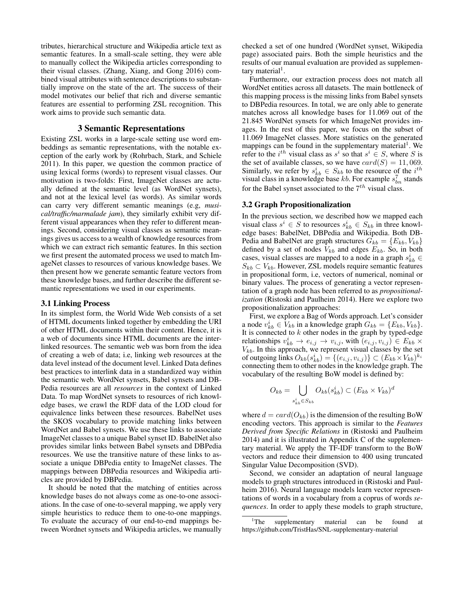tributes, hierarchical structure and Wikipedia article text as semantic features. In a small-scale setting, they were able to manually collect the Wikipedia articles corresponding to their visual classes. (Zhang, Xiang, and Gong 2016) combined visual attributes with sentence descriptions to substantially improve on the state of the art. The success of their model motivates our belief that rich and diverse semantic features are essential to performing ZSL recognition. This work aims to provide such semantic data.

### 3 Semantic Representations

Existing ZSL works in a large-scale setting use word embeddings as semantic representations, with the notable exception of the early work by (Rohrbach, Stark, and Schiele 2011). In this paper, we question the common practice of using lexical forms (words) to represent visual classes. Our motivation is two-folds: First, ImageNet classes are actually defined at the semantic level (as WordNet synsets), and not at the lexical level (as words). As similar words can carry very different semantic meanings (e.g, *musical/traffic/marmalade jam*), they similarly exhibit very different visual appearances when they refer to different meanings. Second, considering visual classes as semantic meanings gives us access to a wealth of knowledge resources from which we can extract rich semantic features. In this section we first present the automated process we used to match ImageNet classes to resources of various knowledge bases. We then present how we generate semantic feature vectors from these knowledge bases, and further describe the different semantic representations we used in our experiments.

#### 3.1 Linking Process

In its simplest form, the World Wide Web consists of a set of HTML documents linked together by embedding the URI of other HTML documents within their content. Hence, it is a web of documents since HTML documents are the interlinked resources. The semantic web was born from the idea of creating a web of data; i.e, linking web resources at the data level instead of the document level. Linked Data defines best practices to interlink data in a standardized way within the semantic web. WordNet synsets, Babel synsets and DB-Pedia resources are all *resources* in the context of Linked Data. To map WordNet synsets to resources of rich knowledge bases, we crawl the RDF data of the LOD cloud for equivalence links between these resources. BabelNet uses the SKOS vocabulary to provide matching links between WordNet and Babel synsets. We use these links to associate ImageNet classes to a unique Babel synset ID. BabelNet also provides similar links between Babel synsets and DBPedia resources. We use the transitive nature of these links to associate a unique DBPedia entity to ImageNet classes. The mappings between DBPedia resources and Wikipedia articles are provided by DBPedia.

It should be noted that the matching of entities across knowledge bases do not always come as one-to-one associations. In the case of one-to-several mapping, we apply very simple heuristics to reduce them to one-to-one mappings. To evaluate the accuracy of our end-to-end mappings between Wordnet synsets and Wikipedia articles, we manually

checked a set of one hundred (WordNet synset, Wikipedia page) associated pairs. Both the simple heuristics and the results of our manual evaluation are provided as supplementary material<sup>1</sup>.

Furthermore, our extraction process does not match all WordNet entities across all datasets. The main bottleneck of this mapping process is the missing links from Babel synsets to DBPedia resources. In total, we are only able to generate matches across all knowledge bases for 11.069 out of the 21.845 WordNet synsets for which ImageNet provides images. In the rest of this paper, we focus on the subset of 11.069 ImageNet classes. More statistics on the generated mappings can be found in the supplementary material<sup>1</sup>. We refer to the *i*<sup>th</sup> visual class as  $s^i$  so that  $s^i \in S$ , where S is the set of available classes, so we have  $card(S) = 11,069$ . Similarly, we refer by  $s_{kb}^i \in S_{kb}$  to the resource of the  $i^{th}$ visual class in a knowledge base kb. For example  $s_{bn}^7$  stands for the Babel synset associated to the  $7^{th}$  visual class.

### 3.2 Graph Propositionalization

In the previous section, we described how we mapped each visual class  $s^i \in S$  to resources  $s^i_{kb} \in S_{kb}$  in three knowledge bases: BabelNet, DBPedia and Wikipedia. Both DB-Pedia and BabelNet are graph structures  $G_{kb} = \{E_{kb}, V_{kb}\}\$ defined by a set of nodes  $V_{kb}$  and edges  $E_{kb}$ . So, in both cases, visual classes are mapped to a node in a graph  $s_{kb}^i$   $\in$  $S_{kb} \subset V_{kb}$ . However, ZSL models require semantic features in propositional form, i.e, vectors of numerical, nominal or binary values. The process of generating a vector representation of a graph node has been referred to as *propositionalization* (Ristoski and Paulheim 2014). Here we explore two propositionalization approaches:

First, we explore a Bag of Words approach. Let's consider a node  $v_{kb}^i \in V_{kb}$  in a knowledge graph  $G_{kb} = \{E_{kb}, V_{kb}\}.$ It is connected to  $k$  other nodes in the graph by typed-edge relationships  $v_{kb}^i \rightarrow e_{i,j} \rightarrow v_{i,j}$ , with  $(e_{i,j}, v_{i,j}) \in E_{kb} \times$  $V_{kb}$ . In this approach, we represent visual classes by the set of outgoing links  $O_{kb}(s^i_{kb}) = \{(e_{i,j}, v_{i,j})\} \subset (E_{kb} \times V_{kb})^{k_i}$ connecting them to other nodes in the knowledge graph. The vocabulary of the resulting BoW model is defined by:

$$
O_{kb} = \bigcup_{s_{kb}^i \in S_{kb}} O_{kb}(s_{kb}^i) \subset (E_{kb} \times V_{kb})^d
$$

where  $d = card(O_{kb})$  is the dimension of the resulting BoW encoding vectors. This approach is similar to the *Features Derived from Specific Relations* in (Ristoski and Paulheim 2014) and it is illustrated in Appendix C of the supplementary material. We apply the TF-IDF transform to the BoW vectors and reduce their dimension to 400 using truncated Singular Value Decomposition (SVD).

Second, we consider an adaptation of neural language models to graph structures introduced in (Ristoski and Paulheim 2016). Neural language models learn vector representations of words in a vocabulary from a coprus of words *sequences*. In order to apply these models to graph structure,

<sup>&</sup>lt;sup>1</sup>The supplementary material can be found at https://github.com/TristHas/SNL-supplementary-material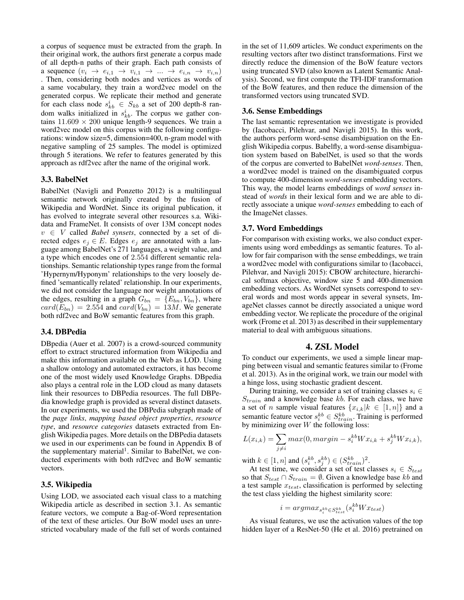a corpus of sequence must be extracted from the graph. In their original work, the authors first generate a corpus made of all depth-n paths of their graph. Each path consists of a sequence  $(v_i \rightarrow e_{i,1} \rightarrow v_{i,1} \rightarrow ... \rightarrow e_{i,n} \rightarrow v_{i,n})$ . Then, considering both nodes and vertices as words of a same vocabulary, they train a word2vec model on the generated corpus. We replicate their method and generate for each class node  $s_{kb}^i \in S_{kb}$  a set of 200 depth-8 random walks initialized in  $s_{kb}^i$ . The corpus we gather contains  $11.609 \times 200$  unique length-9 sequences. We train a word2vec model on this corpus with the following configurations: window size=5, dimension=400, n-gram model with negative sampling of 25 samples. The model is optimized through 5 iterations. We refer to features generated by this approach as rdf2vec after the name of the original work.

### 3.3. BabelNet

BabelNet (Navigli and Ponzetto 2012) is a multilingual semantic network originally created by the fusion of Wikipedia and WordNet. Since its original publication, it has evolved to integrate several other resources s.a. Wikidata and FrameNet. It consists of over 13M concept nodes v ∈ V called *Babel synsets*, connected by a set of directed edges  $e_i \in E$ . Edges  $e_i$  are annotated with a language among BabelNet's 271 languages, a weight value, and a type which encodes one of 2.554 different semantic relationships. Semantic relationship types range from the formal 'Hypernym/Hyponym' relationships to the very loosely defined 'semantically related' relationship. In our experiments, we did not consider the language nor weight annotations of the edges, resulting in a graph  $G_{bn} = \{E_{bn}, V_{bn}\}\$ , where  $card(E_{bn}) = 2.554$  and  $card(V_{bn}) = 13M$ . We generate both rdf2vec and BoW semantic features from this graph.

# 3.4. DBPedia

DBpedia (Auer et al. 2007) is a crowd-sourced community effort to extract structured information from Wikipedia and make this information available on the Web as LOD. Using a shallow ontology and automated extractors, it has become one of the most widely used Knowledge Graphs. DBpedia also plays a central role in the LOD cloud as many datasets link their resources to DBPedia resources. The full DBPedia knowledge graph is provided as several distinct datasets. In our experiments, we used the DBPedia subgraph made of the *page links*, *mapping based object properties*, *resource type*, and *resource categories* datasets extracted from English Wikipedia pages. More details on the DBPedia datasets we used in our experiments can be found in Appendix B of the supplementary material<sup>1</sup>. Similar to BabelNet, we conducted experiments with both rdf2vec and BoW semantic vectors.

### 3.5. Wikipedia

Using LOD, we associated each visual class to a matching Wikipedia article as described in section 3.1. As semantic feature vectors, we compute a Bag-of-Word representation of the text of these articles. Our BoW model uses an unrestricted vocabulary made of the full set of words contained

in the set of 11,609 articles. We conduct experiments on the resulting vectors after two distinct transformations. First we directly reduce the dimension of the BoW feature vectors using truncated SVD (also known as Latent Semantic Analysis). Second, we first compute the TFI-IDF transformation of the BoW features, and then reduce the dimension of the transformed vectors using truncated SVD.

#### 3.6. Sense Embeddings

The last semantic representation we investigate is provided by (Iacobacci, Pilehvar, and Navigli 2015). In this work, the authors perform word-sense disambiguation on the English Wikipedia corpus. Babelfly, a word-sense disambiguation system based on BabelNet, is used so that the words of the corpus are converted to BabelNet *word-senses*. Then, a word2vec model is trained on the disambiguated corpus to compute 400-dimension *word-senses* embedding vectors. This way, the model learns embeddings of *word senses* instead of *words* in their lexical form and we are able to directly associate a unique *word-senses* embedding to each of the ImageNet classes.

#### 3.7. Word Embeddings

For comparison with existing works, we also conduct experiments using word embeddings as semantic features. To allow for fair comparison with the sense embeddings, we train a word2vec model with configurations similar to (Iacobacci, Pilehvar, and Navigli 2015): CBOW architecture, hierarchical softmax objective, window size 5 and 400-dimension embedding vectors. As WordNet synsets correspond to several words and most words appear in several synsets, ImageNet classes cannot be directly associated a unique word embedding vector. We replicate the procedure of the original work (Frome et al. 2013) as described in their supplementary material to deal with ambiguous situations.

#### 4. ZSL Model

To conduct our experiments, we used a simple linear mapping between visual and semantic features similar to (Frome et al. 2013). As in the original work, we train our model with a hinge loss, using stochastic gradient descent.

During training, we consider a set of training classes  $s_i \in$  $S_{train}$  and a knowledge base kb. For each class, we have a set of *n* sample visual features  ${x_{i,k}|k \in [1,n]}$  and a semantic feature vector  $s_i^{kb} \in S_{train}^{kb}$ . Training is performed by minimizing over  $W$  the following loss:

$$
L(x_{i,k}) = \sum_{j \neq i} max(0, margin - s_i^{kb} W x_{i,k} + s_j^{kb} W x_{i,k}),
$$

with  $k \in [1, n]$  and  $(s_i^{kb}, s_j^{kb}) \in (S_{train}^{kb})^2$ .

At test time, we consider a set of test classes  $s_i \in S_{test}$ so that  $S_{test} \cap S_{train} = \emptyset$ . Given a knowledge base kb and a test sample  $x_{test}$ , classification is performed by selecting the test class yielding the highest similarity score:

$$
i = argmax_{s_i^{kb} \in S_{test}^{kb}} (s_i^{kb}Wx_{test})
$$

As visual features, we use the activation values of the top hidden layer of a ResNet-50 (He et al. 2016) pretrained on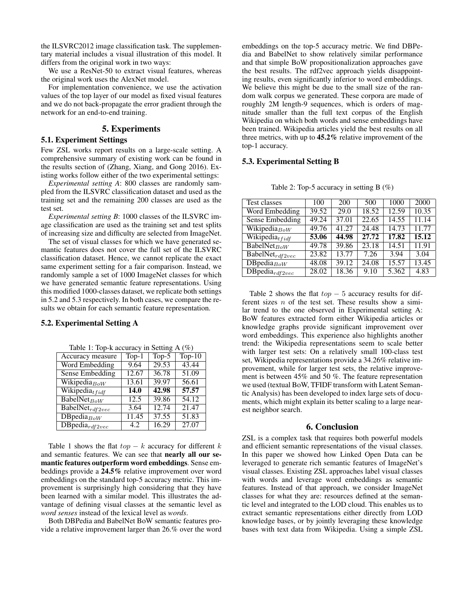the ILSVRC2012 image classification task. The supplementary material includes a visual illustration of this model. It differs from the original work in two ways:

We use a ResNet-50 to extract visual features, whereas the original work uses the AlexNet model.

For implementation convenience, we use the activation values of the top layer of our model as fixed visual features and we do not back-propagate the error gradient through the network for an end-to-end training.

# 5. Experiments

#### 5.1. Experiment Settings

Few ZSL works report results on a large-scale setting. A comprehensive summary of existing work can be found in the results section of (Zhang, Xiang, and Gong 2016). Existing works follow either of the two experimental settings:

*Experimental setting A*: 800 classes are randomly sampled from the ILSVRC classification dataset and used as the training set and the remaining 200 classes are used as the test set.

*Experimental setting B*: 1000 classes of the ILSVRC image classification are used as the training set and test splits of increasing size and difficulty are selected from ImageNet.

The set of visual classes for which we have generated semantic features does not cover the full set of the ILSVRC classification dataset. Hence, we cannot replicate the exact same experiment setting for a fair comparison. Instead, we randomly sample a set of 1000 ImageNet classes for which we have generated semantic feature representations. Using this modified 1000-classes dataset, we replicate both settings in 5.2 and 5.3 respectively. In both cases, we compare the results we obtain for each semantic feature representation.

### 5.2. Experimental Setting A

Table 1: Top-k accuracy in Setting A (%)

| Accuracy measure                        | Top- $1$ | Top- $5$ | Top- $10$          |
|-----------------------------------------|----------|----------|--------------------|
| <b>Word Embedding</b>                   | 9.64     | 29.53    | 43.44              |
| Sense Embedding                         | 12.67    | 36.78    | $\overline{51.09}$ |
| Wikipedia $_{BoW}$                      | 13.61    | 39.97    | 56.61              |
| Wikipedia $_{tfidf}$                    | 14.0     | 42.98    | 57.57              |
| $\overline{\text{BabelNet}}_{BoW}$      | 12.5     | 39.86    | 54.12              |
| $\overline{\text{BabelNet}}_{rdf2vec}$  | 3.64     | 12.74    | 21.47              |
| $\overline{\mathrm{DBpedia}_{BoW}}$     | 11.45    | 37.55    | 51.83              |
| $\overline{\mathrm{DBpedia}}_{rdf2vec}$ | 4.2      | 16.29    | 27.07              |

Table 1 shows the flat  $top - k$  accuracy for different k and semantic features. We can see that nearly all our semantic features outperform word embeddings. Sense embeddings provide a 24.5% relative improvement over word embeddings on the standard top-5 accuracy metric. This improvement is surprisingly high considering that they have been learned with a similar model. This illustrates the advantage of defining visual classes at the semantic level as *word senses* instead of the lexical level as *words*.

Both DBPedia and BabelNet BoW semantic features provide a relative improvement larger than 26.% over the word

embeddings on the top-5 accuracy metric. We find DBPedia and BabelNet to show relatively similar performance and that simple BoW propositionalization approaches gave the best results. The rdf2vec approach yields disappointing results, even significantly inferior to word embeddings. We believe this might be due to the small size of the random walk corpus we generated. These corpora are made of roughly 2M length-9 sequences, which is orders of magnitude smaller than the full text corpus of the English Wikipedia on which both words and sense embeddings have been trained. Wikipedia articles yield the best results on all three metrics, with up to 45.2% relative improvement of the top-1 accuracy.

# 5.3. Experimental Setting B

| Test classes                                  | 100   | 200   | 500                | 1000  | 2000  |
|-----------------------------------------------|-------|-------|--------------------|-------|-------|
| <b>Word Embedding</b>                         | 39.52 | 29.0  | 18.52              | 12.59 | 10.35 |
| Sense Embedding                               | 49.24 | 37.01 | 22.65              | 14.55 | 11.14 |
| Wikipedia $_{BoW}$                            | 49.76 | 41.27 | 24.48              | 14.73 | 11.77 |
| Wikipedia <sub>t fidf</sub>                   | 53.06 | 44.98 | 27.72              | 17.82 | 15.12 |
| $\overline{\text{BabelNet}}_{BoW}$            | 49.78 | 39.86 | $\overline{23.18}$ | 14.51 | 11.91 |
| $\overline{\text{BabelNet}}_{\text{rdf2vec}}$ | 23.82 | 13.77 | 7.26               | 3.94  | 3.04  |
| $\overline{\mathrm{DBpedia}_{BoW}}$           | 48.08 | 39.12 | 24.08              | 15.57 | 13.45 |
| $\overline{\text{DBpedia}}_{rdf2vec}$         | 28.02 | 18.36 | 9.10               | 5.362 | 4.83  |

Table 2: Top-5 accuracy in setting  $B(\%)$ 

Table 2 shows the flat  $top - 5$  accuracy results for different sizes  $n$  of the test set. These results show a similar trend to the one observed in Experimental setting A: BoW features extracted form either Wikipedia articles or knowledge graphs provide significant improvement over word embeddings. This experience also highlights another trend: the Wikipedia representations seem to scale better with larger test sets: On a relatively small 100-class test set, Wikipedia representations provide a 34.26% relative improvement, while for larger test sets, the relative improvement is between 45% and 50 %. The feature representation we used (textual BoW, TFIDF transform with Latent Semantic Analysis) has been developed to index large sets of documents, which might explain its better scaling to a large nearest neighbor search.

#### 6. Conclusion

ZSL is a complex task that requires both powerful models and efficient semantic representations of the visual classes. In this paper we showed how Linked Open Data can be leveraged to generate rich semantic features of ImageNet's visual classes. Existing ZSL approaches label visual classes with words and leverage word embeddings as semantic features. Instead of that approach, we consider ImageNet classes for what they are: resources defined at the semantic level and integrated to the LOD cloud. This enables us to extract semantic representations either directly from LOD knowledge bases, or by jointly leveraging these knowledge bases with text data from Wikipedia. Using a simple ZSL